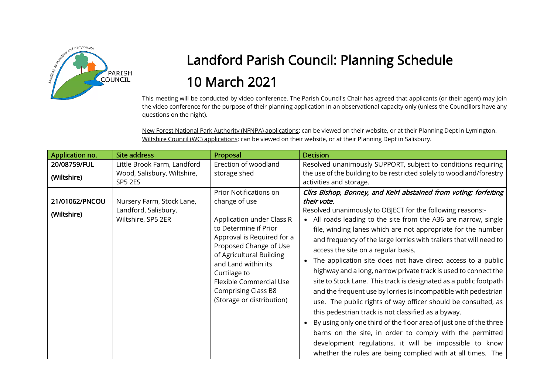

## Landford Parish Council: Planning Schedule 10 March 2021

This meeting will be conducted by video conference. The Parish Council's Chair has agreed that applicants (or their agent) may join the video conference for the purpose of their planning application in an observational capacity only (unless the Councillors have any questions on the night).

New Forest National Park Authority (NFNPA) applications: can be viewed on their website, or at their Planning Dept in Lymington. Wiltshire Council (WC) applications: can be viewed on their website, or at their Planning Dept in Salisbury.

| Application no.               | <b>Site address</b>                                                     | Proposal                                                                                                                                                                                                                                                                                                                     | <b>Decision</b>                                                                                                                                                                                                                                                                                                                                                                                                                                                                                                                                                                                                                                                                                                                                                                                                                                                                                                                                                                                                                                                |
|-------------------------------|-------------------------------------------------------------------------|------------------------------------------------------------------------------------------------------------------------------------------------------------------------------------------------------------------------------------------------------------------------------------------------------------------------------|----------------------------------------------------------------------------------------------------------------------------------------------------------------------------------------------------------------------------------------------------------------------------------------------------------------------------------------------------------------------------------------------------------------------------------------------------------------------------------------------------------------------------------------------------------------------------------------------------------------------------------------------------------------------------------------------------------------------------------------------------------------------------------------------------------------------------------------------------------------------------------------------------------------------------------------------------------------------------------------------------------------------------------------------------------------|
| 20/08759/FUL<br>(Wiltshire)   | Little Brook Farm, Landford<br>Wood, Salisbury, Wiltshire,<br>SP5 2ES   | Erection of woodland<br>storage shed                                                                                                                                                                                                                                                                                         | Resolved unanimously SUPPORT, subject to conditions requiring<br>the use of the building to be restricted solely to woodland/forestry<br>activities and storage.                                                                                                                                                                                                                                                                                                                                                                                                                                                                                                                                                                                                                                                                                                                                                                                                                                                                                               |
| 21/01062/PNCOU<br>(Wiltshire) | Nursery Farm, Stock Lane,<br>Landford, Salisbury,<br>Wiltshire, SP5 2ER | <b>Prior Notifications on</b><br>change of use<br>Application under Class R<br>to Determine if Prior<br>Approval is Required for a<br>Proposed Change of Use<br>of Agricultural Building<br>and Land within its<br>Curtilage to<br><b>Flexible Commercial Use</b><br><b>Comprising Class B8</b><br>(Storage or distribution) | Cllrs Bishop, Bonney, and Keirl abstained from voting; forfeiting<br>their vote.<br>Resolved unanimously to OBJECT for the following reasons:-<br>• All roads leading to the site from the A36 are narrow, single<br>file, winding lanes which are not appropriate for the number<br>and frequency of the large lorries with trailers that will need to<br>access the site on a regular basis.<br>The application site does not have direct access to a public<br>highway and a long, narrow private track is used to connect the<br>site to Stock Lane. This track is designated as a public footpath<br>and the frequent use by lorries is incompatible with pedestrian<br>use. The public rights of way officer should be consulted, as<br>this pedestrian track is not classified as a byway.<br>• By using only one third of the floor area of just one of the three<br>barns on the site, in order to comply with the permitted<br>development regulations, it will be impossible to know<br>whether the rules are being complied with at all times. The |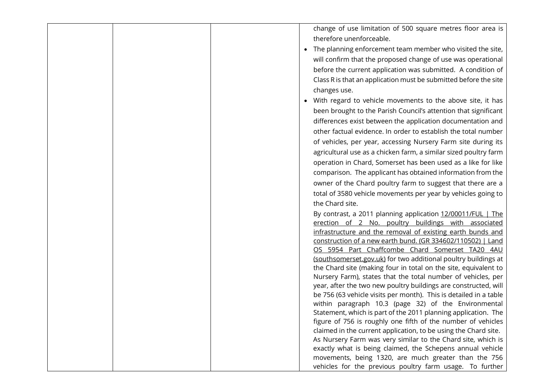|  | change of use limitation of 500 square metres floor area is       |
|--|-------------------------------------------------------------------|
|  |                                                                   |
|  | therefore unenforceable.                                          |
|  | The planning enforcement team member who visited the site,        |
|  | will confirm that the proposed change of use was operational      |
|  | before the current application was submitted. A condition of      |
|  | Class R is that an application must be submitted before the site  |
|  | changes use.                                                      |
|  | With regard to vehicle movements to the above site, it has        |
|  |                                                                   |
|  | been brought to the Parish Council's attention that significant   |
|  | differences exist between the application documentation and       |
|  | other factual evidence. In order to establish the total number    |
|  | of vehicles, per year, accessing Nursery Farm site during its     |
|  | agricultural use as a chicken farm, a similar sized poultry farm  |
|  | operation in Chard, Somerset has been used as a like for like     |
|  | comparison. The applicant has obtained information from the       |
|  | owner of the Chard poultry farm to suggest that there are a       |
|  | total of 3580 vehicle movements per year by vehicles going to     |
|  | the Chard site.                                                   |
|  | By contrast, a 2011 planning application 12/00011/FUL   The       |
|  | erection of 2 No. poultry buildings with associated               |
|  | infrastructure and the removal of existing earth bunds and        |
|  | construction of a new earth bund. (GR 334602/110502)   Land       |
|  | OS 5954 Part Chaffcombe Chard Somerset TA20 4AU                   |
|  | (southsomerset.gov.uk) for two additional poultry buildings at    |
|  | the Chard site (making four in total on the site, equivalent to   |
|  | Nursery Farm), states that the total number of vehicles, per      |
|  | year, after the two new poultry buildings are constructed, will   |
|  | be 756 (63 vehicle visits per month). This is detailed in a table |
|  | within paragraph 10.3 (page 32) of the Environmental              |
|  | Statement, which is part of the 2011 planning application. The    |
|  | figure of 756 is roughly one fifth of the number of vehicles      |
|  | claimed in the current application, to be using the Chard site.   |
|  | As Nursery Farm was very similar to the Chard site, which is      |
|  | exactly what is being claimed, the Schepens annual vehicle        |
|  | movements, being 1320, are much greater than the 756              |
|  | vehicles for the previous poultry farm usage. To further          |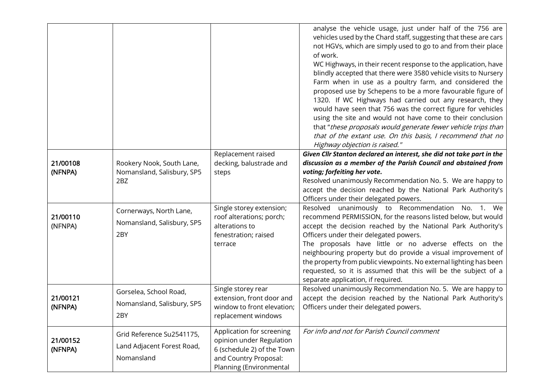|                     |                                                                       |                                                                                                                                         | analyse the vehicle usage, just under half of the 756 are<br>vehicles used by the Chard staff, suggesting that these are cars<br>not HGVs, which are simply used to go to and from their place<br>of work.<br>WC Highways, in their recent response to the application, have<br>blindly accepted that there were 3580 vehicle visits to Nursery<br>Farm when in use as a poultry farm, and considered the<br>proposed use by Schepens to be a more favourable figure of<br>1320. If WC Highways had carried out any research, they<br>would have seen that 756 was the correct figure for vehicles<br>using the site and would not have come to their conclusion<br>that "these proposals would generate fewer vehicle trips than<br>that of the extant use. On this basis, I recommend that no<br>Highway objection is raised." |
|---------------------|-----------------------------------------------------------------------|-----------------------------------------------------------------------------------------------------------------------------------------|----------------------------------------------------------------------------------------------------------------------------------------------------------------------------------------------------------------------------------------------------------------------------------------------------------------------------------------------------------------------------------------------------------------------------------------------------------------------------------------------------------------------------------------------------------------------------------------------------------------------------------------------------------------------------------------------------------------------------------------------------------------------------------------------------------------------------------|
|                     |                                                                       | Replacement raised                                                                                                                      | Given Cllr Stanton declared an interest, she did not take part in the                                                                                                                                                                                                                                                                                                                                                                                                                                                                                                                                                                                                                                                                                                                                                            |
| 21/00108            | Rookery Nook, South Lane,                                             | decking, balustrade and                                                                                                                 | discussion as a member of the Parish Council and abstained from                                                                                                                                                                                                                                                                                                                                                                                                                                                                                                                                                                                                                                                                                                                                                                  |
| (NFNPA)             | Nomansland, Salisbury, SP5                                            | steps                                                                                                                                   | voting; forfeiting her vote.                                                                                                                                                                                                                                                                                                                                                                                                                                                                                                                                                                                                                                                                                                                                                                                                     |
|                     | 2BZ                                                                   |                                                                                                                                         | Resolved unanimously Recommendation No. 5. We are happy to<br>accept the decision reached by the National Park Authority's                                                                                                                                                                                                                                                                                                                                                                                                                                                                                                                                                                                                                                                                                                       |
|                     |                                                                       |                                                                                                                                         | Officers under their delegated powers.                                                                                                                                                                                                                                                                                                                                                                                                                                                                                                                                                                                                                                                                                                                                                                                           |
| 21/00110<br>(NFNPA) | Cornerways, North Lane,<br>Nomansland, Salisbury, SP5<br>2BY          | Single storey extension;<br>roof alterations; porch;<br>alterations to<br>fenestration; raised<br>terrace                               | Resolved unanimously to Recommendation No. 1. We<br>recommend PERMISSION, for the reasons listed below, but would<br>accept the decision reached by the National Park Authority's<br>Officers under their delegated powers.<br>The proposals have little or no adverse effects on the<br>neighbouring property but do provide a visual improvement of<br>the property from public viewpoints. No external lighting has been<br>requested, so it is assumed that this will be the subject of a<br>separate application, if required.                                                                                                                                                                                                                                                                                              |
| 21/00121<br>(NFNPA) | Gorselea, School Road,<br>Nomansland, Salisbury, SP5<br>2BY           | Single storey rear<br>extension, front door and<br>window to front elevation;<br>replacement windows                                    | Resolved unanimously Recommendation No. 5. We are happy to<br>accept the decision reached by the National Park Authority's<br>Officers under their delegated powers.                                                                                                                                                                                                                                                                                                                                                                                                                                                                                                                                                                                                                                                             |
| 21/00152<br>(NFNPA) | Grid Reference Su2541175,<br>Land Adjacent Forest Road,<br>Nomansland | Application for screening<br>opinion under Regulation<br>6 (schedule 2) of the Town<br>and Country Proposal:<br>Planning (Environmental | For info and not for Parish Council comment                                                                                                                                                                                                                                                                                                                                                                                                                                                                                                                                                                                                                                                                                                                                                                                      |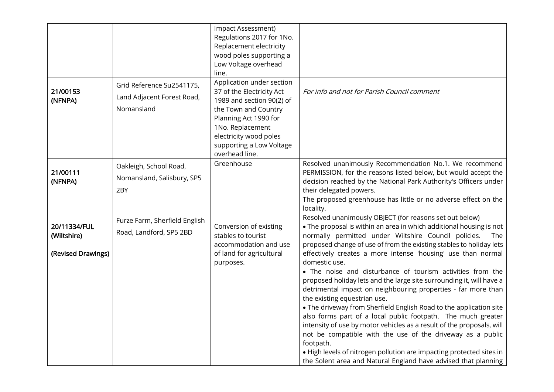|                                                   |                                                                       | Impact Assessment)<br>Regulations 2017 for 1No.<br>Replacement electricity<br>wood poles supporting a<br>Low Voltage overhead<br>line.                                                                                           |                                                                                                                                                                                                                                                                                                                                                                                                                                                                                                                                                                                                                                                                                                                                                                                                                                                                                                                                                                                                                                  |
|---------------------------------------------------|-----------------------------------------------------------------------|----------------------------------------------------------------------------------------------------------------------------------------------------------------------------------------------------------------------------------|----------------------------------------------------------------------------------------------------------------------------------------------------------------------------------------------------------------------------------------------------------------------------------------------------------------------------------------------------------------------------------------------------------------------------------------------------------------------------------------------------------------------------------------------------------------------------------------------------------------------------------------------------------------------------------------------------------------------------------------------------------------------------------------------------------------------------------------------------------------------------------------------------------------------------------------------------------------------------------------------------------------------------------|
| 21/00153<br>(NFNPA)                               | Grid Reference Su2541175,<br>Land Adjacent Forest Road,<br>Nomansland | Application under section<br>37 of the Electricity Act<br>1989 and section 90(2) of<br>the Town and Country<br>Planning Act 1990 for<br>1No. Replacement<br>electricity wood poles<br>supporting a Low Voltage<br>overhead line. | For info and not for Parish Council comment                                                                                                                                                                                                                                                                                                                                                                                                                                                                                                                                                                                                                                                                                                                                                                                                                                                                                                                                                                                      |
| 21/00111<br>(NFNPA)                               | Oakleigh, School Road,<br>Nomansland, Salisbury, SP5<br>2BY           | Greenhouse                                                                                                                                                                                                                       | Resolved unanimously Recommendation No.1. We recommend<br>PERMISSION, for the reasons listed below, but would accept the<br>decision reached by the National Park Authority's Officers under<br>their delegated powers.<br>The proposed greenhouse has little or no adverse effect on the<br>locality.                                                                                                                                                                                                                                                                                                                                                                                                                                                                                                                                                                                                                                                                                                                           |
| 20/11334/FUL<br>(Wiltshire)<br>(Revised Drawings) | Furze Farm, Sherfield English<br>Road, Landford, SP5 2BD              | Conversion of existing<br>stables to tourist<br>accommodation and use<br>of land for agricultural<br>purposes.                                                                                                                   | Resolved unanimously OBJECT (for reasons set out below)<br>. The proposal is within an area in which additional housing is not<br>normally permitted under Wiltshire Council policies.<br>The<br>proposed change of use of from the existing stables to holiday lets<br>effectively creates a more intense 'housing' use than normal<br>domestic use.<br>. The noise and disturbance of tourism activities from the<br>proposed holiday lets and the large site surrounding it, will have a<br>detrimental impact on neighbouring properties - far more than<br>the existing equestrian use.<br>• The driveway from Sherfield English Road to the application site<br>also forms part of a local public footpath. The much greater<br>intensity of use by motor vehicles as a result of the proposals, will<br>not be compatible with the use of the driveway as a public<br>footpath.<br>. High levels of nitrogen pollution are impacting protected sites in<br>the Solent area and Natural England have advised that planning |